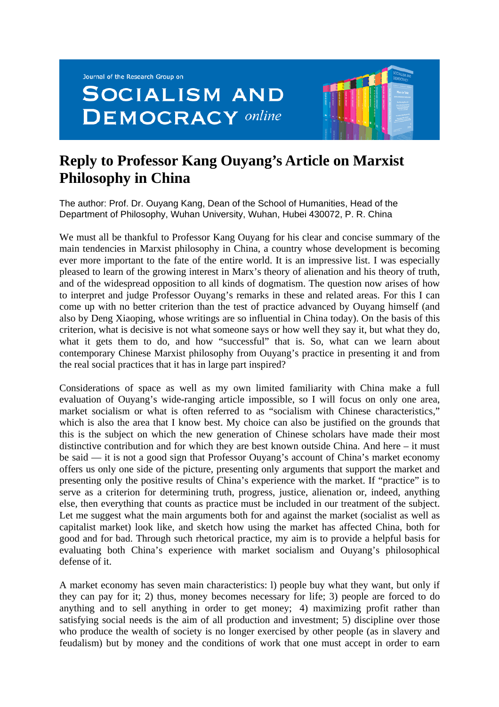Journal of the Research Group on

# **SOCIALISM AND DEMOCRACY** online



Œ

#### **Reply to Professor Kang Ouyang's Article on Marxist Philosophy in China**

The author: Prof. Dr. Ouyang Kang, Dean of the School of Humanities, Head of the Department of Philosophy, Wuhan University, Wuhan, Hubei 430072, P. R. China

We must all be thankful to Professor Kang Ouyang for his clear and concise summary of the main tendencies in Marxist philosophy in China, a country whose development is becoming ever more important to the fate of the entire world. It is an impressive list. I was especially pleased to learn of the growing interest in Marx's theory of alienation and his theory of truth, and of the widespread opposition to all kinds of dogmatism. The question now arises of how to interpret and judge Professor Ouyang's remarks in these and related areas. For this I can come up with no better criterion than the test of practice advanced by Ouyang himself (and also by Deng Xiaoping, whose writings are so influential in China today). On the basis of this criterion, what is decisive is not what someone says or how well they say it, but what they do, what it gets them to do, and how "successful" that is. So, what can we learn about contemporary Chinese Marxist philosophy from Ouyang's practice in presenting it and from the real social practices that it has in large part inspired?

Considerations of space as well as my own limited familiarity with China make a full evaluation of Ouyang's wide-ranging article impossible, so I will focus on only one area, market socialism or what is often referred to as "socialism with Chinese characteristics," which is also the area that I know best. My choice can also be justified on the grounds that this is the subject on which the new generation of Chinese scholars have made their most distinctive contribution and for which they are best known outside China. And here – it must be said — it is not a good sign that Professor Ouyang's account of China's market economy offers us only one side of the picture, presenting only arguments that support the market and presenting only the positive results of China's experience with the market. If "practice" is to serve as a criterion for determining truth, progress, justice, alienation or, indeed, anything else, then everything that counts as practice must be included in our treatment of the subject. Let me suggest what the main arguments both for and against the market (socialist as well as capitalist market) look like, and sketch how using the market has affected China, both for good and for bad. Through such rhetorical practice, my aim is to provide a helpful basis for evaluating both China's experience with market socialism and Ouyang's philosophical defense of it.

A market economy has seven main characteristics: l) people buy what they want, but only if they can pay for it; 2) thus, money becomes necessary for life; 3) people are forced to do anything and to sell anything in order to get money; 4) maximizing profit rather than satisfying social needs is the aim of all production and investment; 5) discipline over those who produce the wealth of society is no longer exercised by other people (as in slavery and feudalism) but by money and the conditions of work that one must accept in order to earn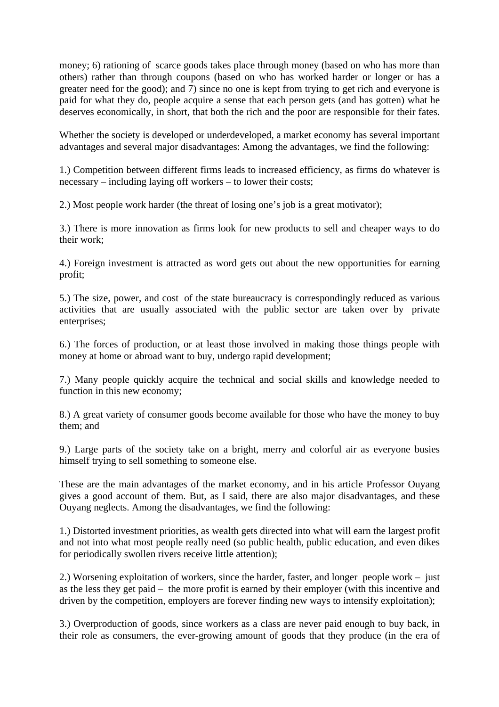money; 6) rationing of scarce goods takes place through money (based on who has more than others) rather than through coupons (based on who has worked harder or longer or has a greater need for the good); and 7) since no one is kept from trying to get rich and everyone is paid for what they do, people acquire a sense that each person gets (and has gotten) what he deserves economically, in short, that both the rich and the poor are responsible for their fates.

Whether the society is developed or underdeveloped, a market economy has several important advantages and several major disadvantages: Among the advantages, we find the following:

1.) Competition between different firms leads to increased efficiency, as firms do whatever is necessary – including laying off workers – to lower their costs;

2.) Most people work harder (the threat of losing one's job is a great motivator);

3.) There is more innovation as firms look for new products to sell and cheaper ways to do their work;

4.) Foreign investment is attracted as word gets out about the new opportunities for earning profit;

5.) The size, power, and cost of the state bureaucracy is correspondingly reduced as various activities that are usually associated with the public sector are taken over by private enterprises;

6.) The forces of production, or at least those involved in making those things people with money at home or abroad want to buy, undergo rapid development;

7.) Many people quickly acquire the technical and social skills and knowledge needed to function in this new economy;

8.) A great variety of consumer goods become available for those who have the money to buy them; and

9.) Large parts of the society take on a bright, merry and colorful air as everyone busies himself trying to sell something to someone else.

These are the main advantages of the market economy, and in his article Professor Ouyang gives a good account of them. But, as I said, there are also major disadvantages, and these Ouyang neglects. Among the disadvantages, we find the following:

1.) Distorted investment priorities, as wealth gets directed into what will earn the largest profit and not into what most people really need (so public health, public education, and even dikes for periodically swollen rivers receive little attention);

2.) Worsening exploitation of workers, since the harder, faster, and longer people work – just as the less they get paid – the more profit is earned by their employer (with this incentive and driven by the competition, employers are forever finding new ways to intensify exploitation);

3.) Overproduction of goods, since workers as a class are never paid enough to buy back, in their role as consumers, the ever-growing amount of goods that they produce (in the era of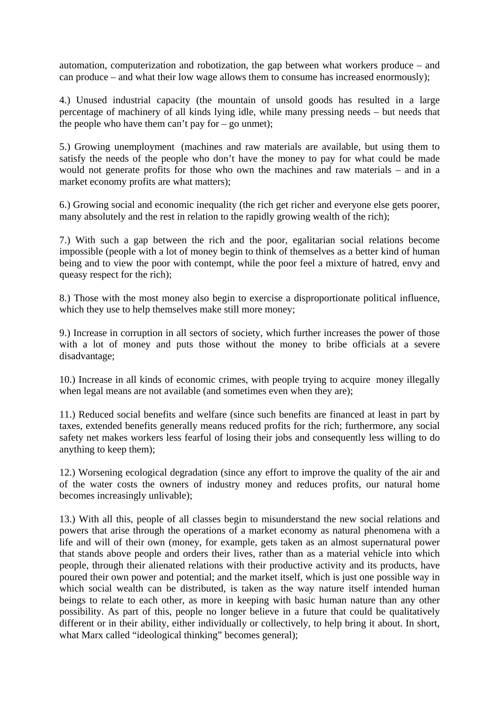automation, computerization and robotization, the gap between what workers produce – and can produce – and what their low wage allows them to consume has increased enormously);

4.) Unused industrial capacity (the mountain of unsold goods has resulted in a large percentage of machinery of all kinds lying idle, while many pressing needs – but needs that the people who have them can't pay for  $-$  go unmet);

5.) Growing unemployment (machines and raw materials are available, but using them to satisfy the needs of the people who don't have the money to pay for what could be made would not generate profits for those who own the machines and raw materials – and in a market economy profits are what matters);

6.) Growing social and economic inequality (the rich get richer and everyone else gets poorer, many absolutely and the rest in relation to the rapidly growing wealth of the rich);

7.) With such a gap between the rich and the poor, egalitarian social relations become impossible (people with a lot of money begin to think of themselves as a better kind of human being and to view the poor with contempt, while the poor feel a mixture of hatred, envy and queasy respect for the rich);

8.) Those with the most money also begin to exercise a disproportionate political influence, which they use to help themselves make still more money;

9.) Increase in corruption in all sectors of society, which further increases the power of those with a lot of money and puts those without the money to bribe officials at a severe disadvantage;

10.) Increase in all kinds of economic crimes, with people trying to acquire money illegally when legal means are not available (and sometimes even when they are);

11.) Reduced social benefits and welfare (since such benefits are financed at least in part by taxes, extended benefits generally means reduced profits for the rich; furthermore, any social safety net makes workers less fearful of losing their jobs and consequently less willing to do anything to keep them);

12.) Worsening ecological degradation (since any effort to improve the quality of the air and of the water costs the owners of industry money and reduces profits, our natural home becomes increasingly unlivable);

13.) With all this, people of all classes begin to misunderstand the new social relations and powers that arise through the operations of a market economy as natural phenomena with a life and will of their own (money, for example, gets taken as an almost supernatural power that stands above people and orders their lives, rather than as a material vehicle into which people, through their alienated relations with their productive activity and its products, have poured their own power and potential; and the market itself, which is just one possible way in which social wealth can be distributed, is taken as the way nature itself intended human beings to relate to each other, as more in keeping with basic human nature than any other possibility. As part of this, people no longer believe in a future that could be qualitatively different or in their ability, either individually or collectively, to help bring it about. In short, what Marx called "ideological thinking" becomes general);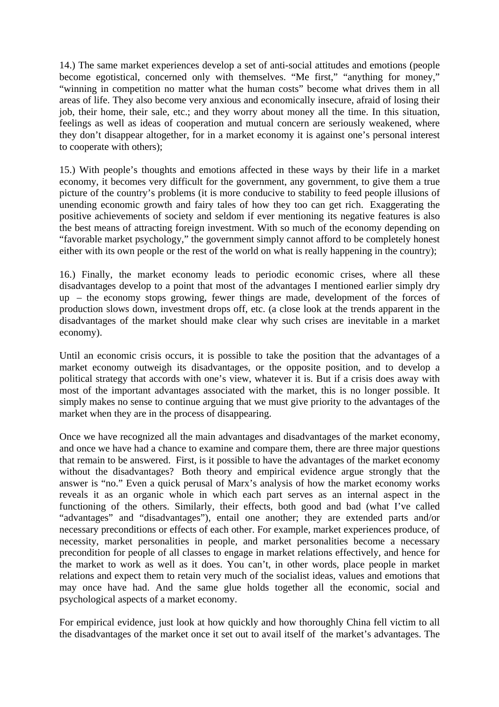14.) The same market experiences develop a set of anti-social attitudes and emotions (people become egotistical, concerned only with themselves. "Me first," "anything for money," "winning in competition no matter what the human costs" become what drives them in all areas of life. They also become very anxious and economically insecure, afraid of losing their job, their home, their sale, etc.; and they worry about money all the time. In this situation, feelings as well as ideas of cooperation and mutual concern are seriously weakened, where they don't disappear altogether, for in a market economy it is against one's personal interest to cooperate with others);

15.) With people's thoughts and emotions affected in these ways by their life in a market economy, it becomes very difficult for the government, any government, to give them a true picture of the country's problems (it is more conducive to stability to feed people illusions of unending economic growth and fairy tales of how they too can get rich. Exaggerating the positive achievements of society and seldom if ever mentioning its negative features is also the best means of attracting foreign investment. With so much of the economy depending on "favorable market psychology," the government simply cannot afford to be completely honest either with its own people or the rest of the world on what is really happening in the country);

16.) Finally, the market economy leads to periodic economic crises, where all these disadvantages develop to a point that most of the advantages I mentioned earlier simply dry up – the economy stops growing, fewer things are made, development of the forces of production slows down, investment drops off, etc. (a close look at the trends apparent in the disadvantages of the market should make clear why such crises are inevitable in a market economy).

Until an economic crisis occurs, it is possible to take the position that the advantages of a market economy outweigh its disadvantages, or the opposite position, and to develop a political strategy that accords with one's view, whatever it is. But if a crisis does away with most of the important advantages associated with the market, this is no longer possible. It simply makes no sense to continue arguing that we must give priority to the advantages of the market when they are in the process of disappearing.

Once we have recognized all the main advantages and disadvantages of the market economy, and once we have had a chance to examine and compare them, there are three major questions that remain to be answered. First, is it possible to have the advantages of the market economy without the disadvantages? Both theory and empirical evidence argue strongly that the answer is "no." Even a quick perusal of Marx's analysis of how the market economy works reveals it as an organic whole in which each part serves as an internal aspect in the functioning of the others. Similarly, their effects, both good and bad (what I've called "advantages" and "disadvantages"), entail one another; they are extended parts and/or necessary preconditions or effects of each other. For example, market experiences produce, of necessity, market personalities in people, and market personalities become a necessary precondition for people of all classes to engage in market relations effectively, and hence for the market to work as well as it does. You can't, in other words, place people in market relations and expect them to retain very much of the socialist ideas, values and emotions that may once have had. And the same glue holds together all the economic, social and psychological aspects of a market economy.

For empirical evidence, just look at how quickly and how thoroughly China fell victim to all the disadvantages of the market once it set out to avail itself of the market's advantages. The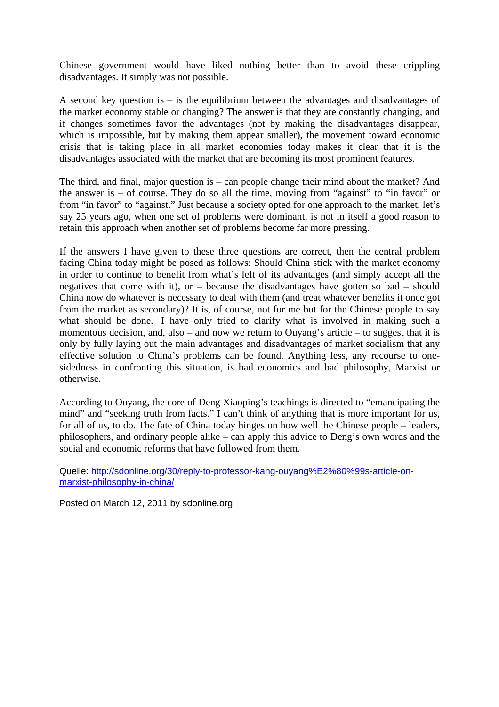Chinese government would have liked nothing better than to avoid these crippling disadvantages. It simply was not possible.

A second key question is – is the equilibrium between the advantages and disadvantages of the market economy stable or changing? The answer is that they are constantly changing, and if changes sometimes favor the advantages (not by making the disadvantages disappear, which is impossible, but by making them appear smaller), the movement toward economic crisis that is taking place in all market economies today makes it clear that it is the disadvantages associated with the market that are becoming its most prominent features.

The third, and final, major question is – can people change their mind about the market? And the answer is – of course. They do so all the time, moving from "against" to "in favor" or from "in favor" to "against." Just because a society opted for one approach to the market, let's say 25 years ago, when one set of problems were dominant, is not in itself a good reason to retain this approach when another set of problems become far more pressing.

If the answers I have given to these three questions are correct, then the central problem facing China today might be posed as follows: Should China stick with the market economy in order to continue to benefit from what's left of its advantages (and simply accept all the negatives that come with it), or – because the disadvantages have gotten so bad – should China now do whatever is necessary to deal with them (and treat whatever benefits it once got from the market as secondary)? It is, of course, not for me but for the Chinese people to say what should be done. I have only tried to clarify what is involved in making such a momentous decision, and, also – and now we return to Ouyang's article – to suggest that it is only by fully laying out the main advantages and disadvantages of market socialism that any effective solution to China's problems can be found. Anything less, any recourse to onesidedness in confronting this situation, is bad economics and bad philosophy, Marxist or otherwise.

According to Ouyang, the core of Deng Xiaoping's teachings is directed to "emancipating the mind" and "seeking truth from facts." I can't think of anything that is more important for us, for all of us, to do. The fate of China today hinges on how well the Chinese people – leaders, philosophers, and ordinary people alike – can apply this advice to Deng's own words and the social and economic reforms that have followed from them.

Quelle: http://sdonline.org/30/reply-to-professor-kang-ouyang%E2%80%99s-article-onmarxist-philosophy-in-china/

Posted on March 12, 2011 by sdonline.org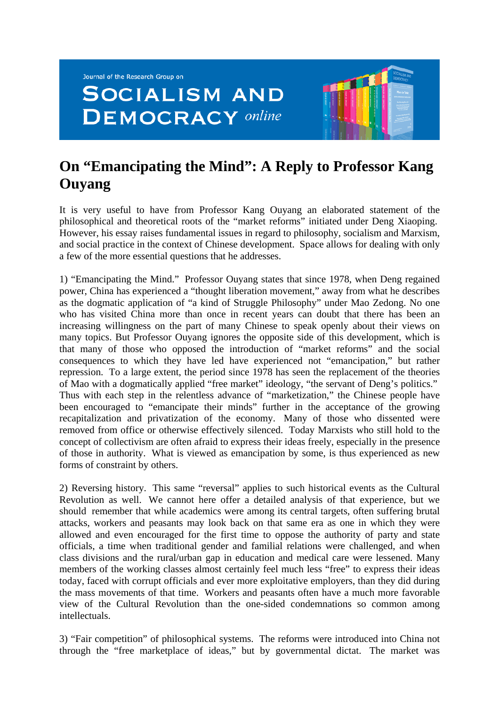Journal of the Research Group on

## **SOCIALISM AND DEMOCRACY** online



### **On "Emancipating the Mind": A Reply to Professor Kang Ouyang**

It is very useful to have from Professor Kang Ouyang an elaborated statement of the philosophical and theoretical roots of the "market reforms" initiated under Deng Xiaoping. However, his essay raises fundamental issues in regard to philosophy, socialism and Marxism, and social practice in the context of Chinese development. Space allows for dealing with only a few of the more essential questions that he addresses.

1) "Emancipating the Mind." Professor Ouyang states that since 1978, when Deng regained power, China has experienced a "thought liberation movement," away from what he describes as the dogmatic application of "a kind of Struggle Philosophy" under Mao Zedong. No one who has visited China more than once in recent years can doubt that there has been an increasing willingness on the part of many Chinese to speak openly about their views on many topics. But Professor Ouyang ignores the opposite side of this development, which is that many of those who opposed the introduction of "market reforms" and the social consequences to which they have led have experienced not "emancipation," but rather repression. To a large extent, the period since 1978 has seen the replacement of the theories of Mao with a dogmatically applied "free market" ideology, "the servant of Deng's politics." Thus with each step in the relentless advance of "marketization," the Chinese people have been encouraged to "emancipate their minds" further in the acceptance of the growing recapitalization and privatization of the economy. Many of those who dissented were removed from office or otherwise effectively silenced. Today Marxists who still hold to the concept of collectivism are often afraid to express their ideas freely, especially in the presence of those in authority. What is viewed as emancipation by some, is thus experienced as new forms of constraint by others.

2) Reversing history. This same "reversal" applies to such historical events as the Cultural Revolution as well. We cannot here offer a detailed analysis of that experience, but we should remember that while academics were among its central targets, often suffering brutal attacks, workers and peasants may look back on that same era as one in which they were allowed and even encouraged for the first time to oppose the authority of party and state officials, a time when traditional gender and familial relations were challenged, and when class divisions and the rural/urban gap in education and medical care were lessened. Many members of the working classes almost certainly feel much less "free" to express their ideas today, faced with corrupt officials and ever more exploitative employers, than they did during the mass movements of that time. Workers and peasants often have a much more favorable view of the Cultural Revolution than the one-sided condemnations so common among intellectuals.

3) "Fair competition" of philosophical systems. The reforms were introduced into China not through the "free marketplace of ideas," but by governmental dictat. The market was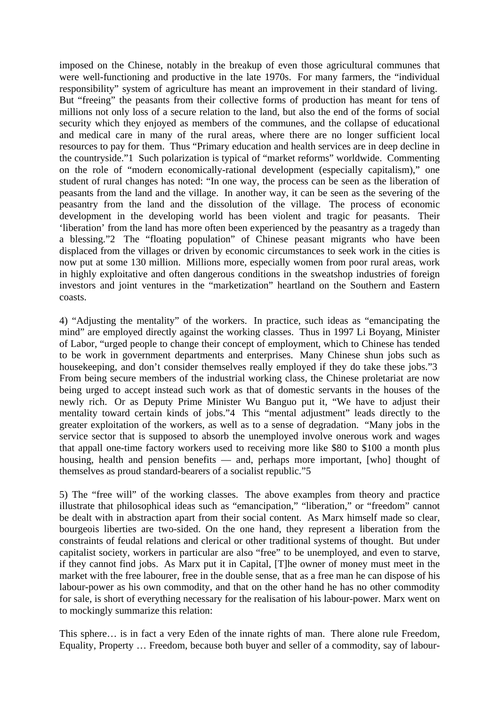imposed on the Chinese, notably in the breakup of even those agricultural communes that were well-functioning and productive in the late 1970s. For many farmers, the "individual responsibility" system of agriculture has meant an improvement in their standard of living. But "freeing" the peasants from their collective forms of production has meant for tens of millions not only loss of a secure relation to the land, but also the end of the forms of social security which they enjoyed as members of the communes, and the collapse of educational and medical care in many of the rural areas, where there are no longer sufficient local resources to pay for them. Thus "Primary education and health services are in deep decline in the countryside."1 Such polarization is typical of "market reforms" worldwide. Commenting on the role of "modern economically-rational development (especially capitalism)," one student of rural changes has noted: "In one way, the process can be seen as the liberation of peasants from the land and the village. In another way, it can be seen as the severing of the peasantry from the land and the dissolution of the village. The process of economic development in the developing world has been violent and tragic for peasants. Their 'liberation' from the land has more often been experienced by the peasantry as a tragedy than a blessing."2 The "floating population" of Chinese peasant migrants who have been displaced from the villages or driven by economic circumstances to seek work in the cities is now put at some 130 million. Millions more, especially women from poor rural areas, work in highly exploitative and often dangerous conditions in the sweatshop industries of foreign investors and joint ventures in the "marketization" heartland on the Southern and Eastern coasts.

4) "Adjusting the mentality" of the workers. In practice, such ideas as "emancipating the mind" are employed directly against the working classes. Thus in 1997 Li Boyang, Minister of Labor, "urged people to change their concept of employment, which to Chinese has tended to be work in government departments and enterprises. Many Chinese shun jobs such as housekeeping, and don't consider themselves really employed if they do take these jobs."3 From being secure members of the industrial working class, the Chinese proletariat are now being urged to accept instead such work as that of domestic servants in the houses of the newly rich. Or as Deputy Prime Minister Wu Banguo put it, "We have to adjust their mentality toward certain kinds of jobs."4 This "mental adjustment" leads directly to the greater exploitation of the workers, as well as to a sense of degradation. "Many jobs in the service sector that is supposed to absorb the unemployed involve onerous work and wages that appall one-time factory workers used to receiving more like \$80 to \$100 a month plus housing, health and pension benefits — and, perhaps more important, [who] thought of themselves as proud standard-bearers of a socialist republic."5

5) The "free will" of the working classes. The above examples from theory and practice illustrate that philosophical ideas such as "emancipation," "liberation," or "freedom" cannot be dealt with in abstraction apart from their social content. As Marx himself made so clear, bourgeois liberties are two-sided. On the one hand, they represent a liberation from the constraints of feudal relations and clerical or other traditional systems of thought. But under capitalist society, workers in particular are also "free" to be unemployed, and even to starve, if they cannot find jobs. As Marx put it in Capital, [T]he owner of money must meet in the market with the free labourer, free in the double sense, that as a free man he can dispose of his labour-power as his own commodity, and that on the other hand he has no other commodity for sale, is short of everything necessary for the realisation of his labour-power. Marx went on to mockingly summarize this relation:

This sphere… is in fact a very Eden of the innate rights of man. There alone rule Freedom, Equality, Property … Freedom, because both buyer and seller of a commodity, say of labour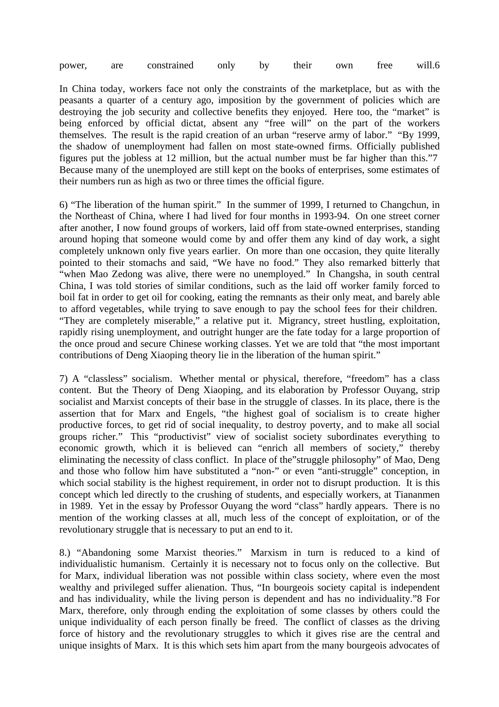power, are constrained only by their own free will.6

In China today, workers face not only the constraints of the marketplace, but as with the peasants a quarter of a century ago, imposition by the government of policies which are destroying the job security and collective benefits they enjoyed. Here too, the "market" is being enforced by official dictat, absent any "free will" on the part of the workers themselves. The result is the rapid creation of an urban "reserve army of labor." "By 1999, the shadow of unemployment had fallen on most state-owned firms. Officially published figures put the jobless at 12 million, but the actual number must be far higher than this."7 Because many of the unemployed are still kept on the books of enterprises, some estimates of their numbers run as high as two or three times the official figure.

6) "The liberation of the human spirit." In the summer of 1999, I returned to Changchun, in the Northeast of China, where I had lived for four months in 1993-94. On one street corner after another, I now found groups of workers, laid off from state-owned enterprises, standing around hoping that someone would come by and offer them any kind of day work, a sight completely unknown only five years earlier. On more than one occasion, they quite literally pointed to their stomachs and said, "We have no food." They also remarked bitterly that "when Mao Zedong was alive, there were no unemployed." In Changsha, in south central China, I was told stories of similar conditions, such as the laid off worker family forced to boil fat in order to get oil for cooking, eating the remnants as their only meat, and barely able to afford vegetables, while trying to save enough to pay the school fees for their children. "They are completely miserable," a relative put it. Migrancy, street hustling, exploitation, rapidly rising unemployment, and outright hunger are the fate today for a large proportion of the once proud and secure Chinese working classes. Yet we are told that "the most important contributions of Deng Xiaoping theory lie in the liberation of the human spirit."

7) A "classless" socialism. Whether mental or physical, therefore, "freedom" has a class content. But the Theory of Deng Xiaoping, and its elaboration by Professor Ouyang, strip socialist and Marxist concepts of their base in the struggle of classes. In its place, there is the assertion that for Marx and Engels, "the highest goal of socialism is to create higher productive forces, to get rid of social inequality, to destroy poverty, and to make all social groups richer." This "productivist" view of socialist society subordinates everything to economic growth, which it is believed can "enrich all members of society," thereby eliminating the necessity of class conflict. In place of the"struggle philosophy" of Mao, Deng and those who follow him have substituted a "non-" or even "anti-struggle" conception, in which social stability is the highest requirement, in order not to disrupt production. It is this concept which led directly to the crushing of students, and especially workers, at Tiananmen in 1989. Yet in the essay by Professor Ouyang the word "class" hardly appears. There is no mention of the working classes at all, much less of the concept of exploitation, or of the revolutionary struggle that is necessary to put an end to it.

8.) "Abandoning some Marxist theories." Marxism in turn is reduced to a kind of individualistic humanism. Certainly it is necessary not to focus only on the collective. But for Marx, individual liberation was not possible within class society, where even the most wealthy and privileged suffer alienation. Thus, "In bourgeois society capital is independent and has individuality, while the living person is dependent and has no individuality."8 For Marx, therefore, only through ending the exploitation of some classes by others could the unique individuality of each person finally be freed. The conflict of classes as the driving force of history and the revolutionary struggles to which it gives rise are the central and unique insights of Marx. It is this which sets him apart from the many bourgeois advocates of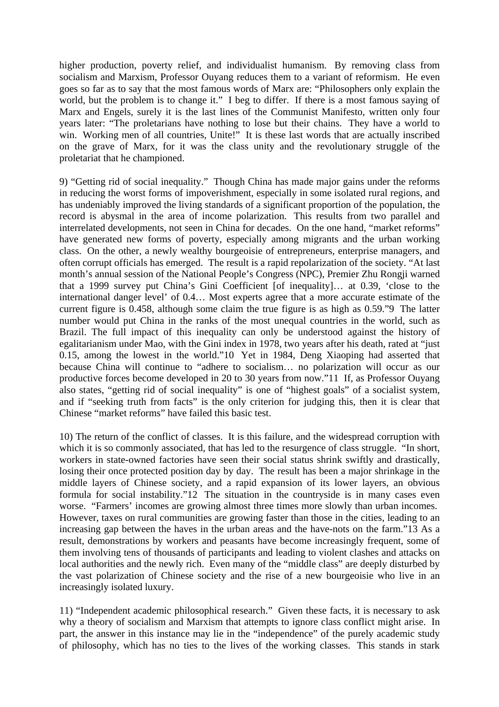higher production, poverty relief, and individualist humanism. By removing class from socialism and Marxism, Professor Ouyang reduces them to a variant of reformism. He even goes so far as to say that the most famous words of Marx are: "Philosophers only explain the world, but the problem is to change it." I beg to differ. If there is a most famous saying of Marx and Engels, surely it is the last lines of the Communist Manifesto, written only four years later: "The proletarians have nothing to lose but their chains. They have a world to win. Working men of all countries, Unite!" It is these last words that are actually inscribed on the grave of Marx, for it was the class unity and the revolutionary struggle of the proletariat that he championed.

9) "Getting rid of social inequality." Though China has made major gains under the reforms in reducing the worst forms of impoverishment, especially in some isolated rural regions, and has undeniably improved the living standards of a significant proportion of the population, the record is abysmal in the area of income polarization. This results from two parallel and interrelated developments, not seen in China for decades. On the one hand, "market reforms" have generated new forms of poverty, especially among migrants and the urban working class. On the other, a newly wealthy bourgeoisie of entrepreneurs, enterprise managers, and often corrupt officials has emerged. The result is a rapid repolarization of the society. "At last month's annual session of the National People's Congress (NPC), Premier Zhu Rongji warned that a 1999 survey put China's Gini Coefficient [of inequality]… at 0.39, 'close to the international danger level' of 0.4… Most experts agree that a more accurate estimate of the current figure is 0.458, although some claim the true figure is as high as 0.59."9 The latter number would put China in the ranks of the most unequal countries in the world, such as Brazil. The full impact of this inequality can only be understood against the history of egalitarianism under Mao, with the Gini index in 1978, two years after his death, rated at "just 0.15, among the lowest in the world."10 Yet in 1984, Deng Xiaoping had asserted that because China will continue to "adhere to socialism… no polarization will occur as our productive forces become developed in 20 to 30 years from now."11 If, as Professor Ouyang also states, "getting rid of social inequality" is one of "highest goals" of a socialist system, and if "seeking truth from facts" is the only criterion for judging this, then it is clear that Chinese "market reforms" have failed this basic test.

10) The return of the conflict of classes. It is this failure, and the widespread corruption with which it is so commonly associated, that has led to the resurgence of class struggle. "In short, workers in state-owned factories have seen their social status shrink swiftly and drastically, losing their once protected position day by day. The result has been a major shrinkage in the middle layers of Chinese society, and a rapid expansion of its lower layers, an obvious formula for social instability."12 The situation in the countryside is in many cases even worse. "Farmers' incomes are growing almost three times more slowly than urban incomes. However, taxes on rural communities are growing faster than those in the cities, leading to an increasing gap between the haves in the urban areas and the have-nots on the farm."13 As a result, demonstrations by workers and peasants have become increasingly frequent, some of them involving tens of thousands of participants and leading to violent clashes and attacks on local authorities and the newly rich. Even many of the "middle class" are deeply disturbed by the vast polarization of Chinese society and the rise of a new bourgeoisie who live in an increasingly isolated luxury.

11) "Independent academic philosophical research." Given these facts, it is necessary to ask why a theory of socialism and Marxism that attempts to ignore class conflict might arise. In part, the answer in this instance may lie in the "independence" of the purely academic study of philosophy, which has no ties to the lives of the working classes. This stands in stark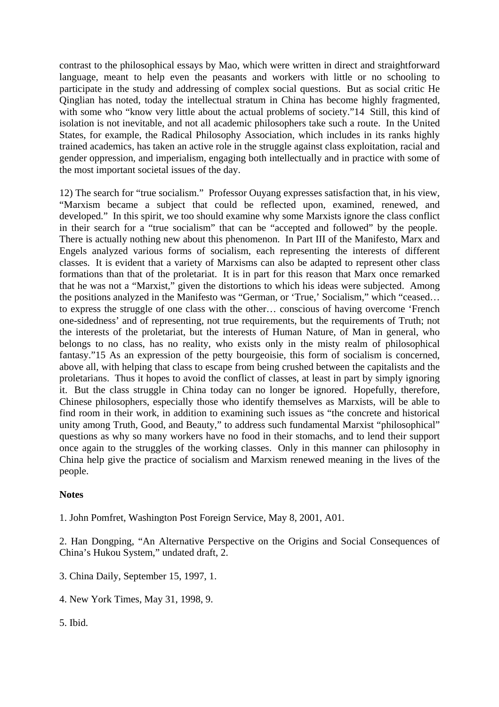contrast to the philosophical essays by Mao, which were written in direct and straightforward language, meant to help even the peasants and workers with little or no schooling to participate in the study and addressing of complex social questions. But as social critic He Qinglian has noted, today the intellectual stratum in China has become highly fragmented, with some who "know very little about the actual problems of society."14 Still, this kind of isolation is not inevitable, and not all academic philosophers take such a route. In the United States, for example, the Radical Philosophy Association, which includes in its ranks highly trained academics, has taken an active role in the struggle against class exploitation, racial and gender oppression, and imperialism, engaging both intellectually and in practice with some of the most important societal issues of the day.

12) The search for "true socialism." Professor Ouyang expresses satisfaction that, in his view, "Marxism became a subject that could be reflected upon, examined, renewed, and developed." In this spirit, we too should examine why some Marxists ignore the class conflict in their search for a "true socialism" that can be "accepted and followed" by the people. There is actually nothing new about this phenomenon. In Part III of the Manifesto, Marx and Engels analyzed various forms of socialism, each representing the interests of different classes. It is evident that a variety of Marxisms can also be adapted to represent other class formations than that of the proletariat. It is in part for this reason that Marx once remarked that he was not a "Marxist," given the distortions to which his ideas were subjected. Among the positions analyzed in the Manifesto was "German, or 'True,' Socialism," which "ceased… to express the struggle of one class with the other… conscious of having overcome 'French one-sidedness' and of representing, not true requirements, but the requirements of Truth; not the interests of the proletariat, but the interests of Human Nature, of Man in general, who belongs to no class, has no reality, who exists only in the misty realm of philosophical fantasy."15 As an expression of the petty bourgeoisie, this form of socialism is concerned, above all, with helping that class to escape from being crushed between the capitalists and the proletarians. Thus it hopes to avoid the conflict of classes, at least in part by simply ignoring it. But the class struggle in China today can no longer be ignored. Hopefully, therefore, Chinese philosophers, especially those who identify themselves as Marxists, will be able to find room in their work, in addition to examining such issues as "the concrete and historical unity among Truth, Good, and Beauty," to address such fundamental Marxist "philosophical" questions as why so many workers have no food in their stomachs, and to lend their support once again to the struggles of the working classes. Only in this manner can philosophy in China help give the practice of socialism and Marxism renewed meaning in the lives of the people.

#### **Notes**

1. John Pomfret, Washington Post Foreign Service, May 8, 2001, A01.

2. Han Dongping, "An Alternative Perspective on the Origins and Social Consequences of China's Hukou System," undated draft, 2.

- 3. China Daily, September 15, 1997, 1.
- 4. New York Times, May 31, 1998, 9.

5. Ibid.